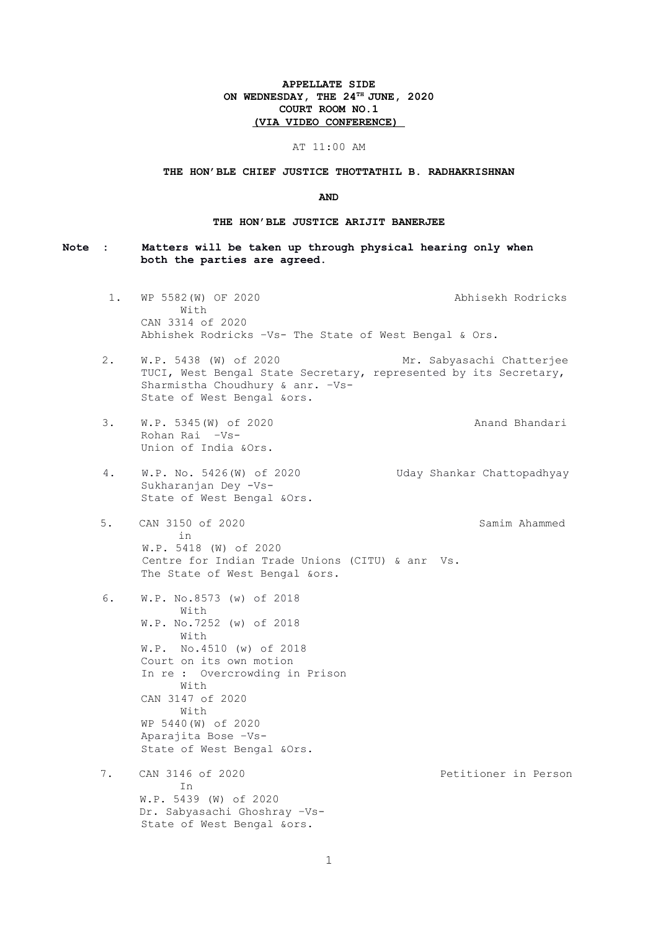# APPELLATE SIDE ON WEDNESDAY, THE  $24^{TH}$  JUNE, 2020 COURT ROOM NO.1 (VIA VIDEO CONFERENCE)

### AT 11:00 AM

### THE HON'BLE CHIEF JUSTICE THOTTATHIL B. RADHAKRISHNAN

#### AND

### THE HON'BLE JUSTICE ARIJIT BANERJEE

- Note : Matters will be taken up through physical hearing only when both the parties are agreed.
	- 1. WP 5582(W) OF 2020 Abhisekh Rodricks With CAN 3314 of 2020 Abhishek Rodricks –Vs- The State of West Bengal & Ors.
	- 2. W.P. 5438 (W) of 2020 Mr. Sabyasachi Chatterjee TUCI, West Bengal State Secretary, represented by its Secretary, Sharmistha Choudhury & anr. –Vs-State of West Bengal &ors.
	- 3. W.P. 5345(W) of 2020 Anand Bhandari Rohan Rai –Vs-Union of India &Ors.
	- 4. W.P. No. 5426(W) of 2020 Uday Shankar Chattopadhyay Sukharanjan Dey -Vs-State of West Bengal &Ors.
	- 5. CAN 3150 of 2020 Samim Ahammed in W.P. 5418 (W) of 2020 Centre for Indian Trade Unions (CITU) & anr Vs. The State of West Bengal &ors.
	- 6. W.P. No.8573 (w) of 2018 With W.P. No.7252 (w) of 2018 With W.P. No.4510 (w) of 2018 Court on its own motion In re : Overcrowding in Prison With CAN 3147 of 2020 With WP 5440(W) of 2020 Aparajita Bose –Vs-State of West Bengal &Ors.
	- 7. CAN 3146 of 2020 Petitioner in Person In W.P. 5439 (W) of 2020 Dr. Sabyasachi Ghoshray –Vs-State of West Bengal &ors.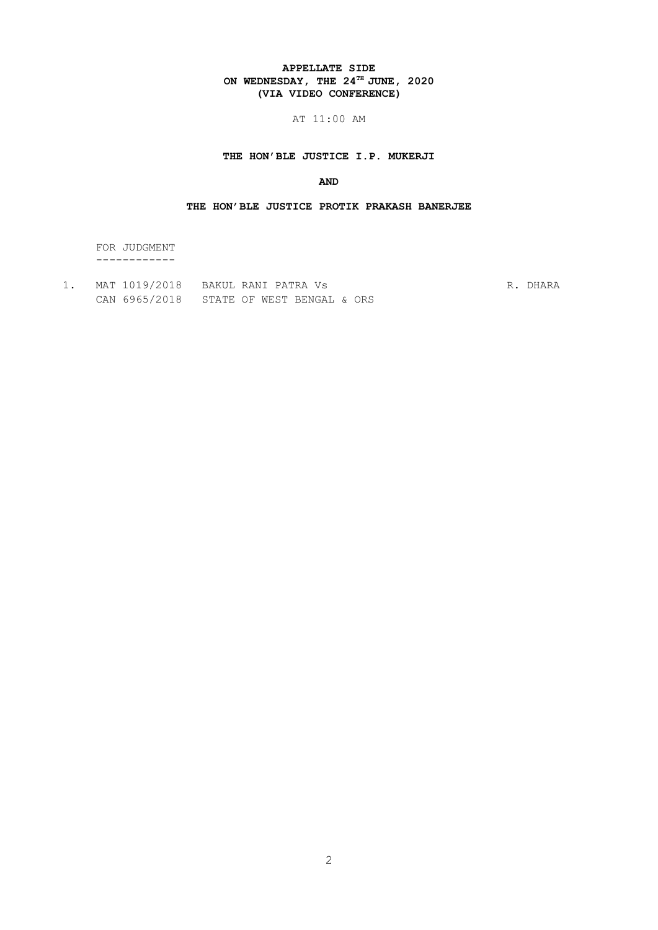# APPELLATE SIDE ON WEDNESDAY, THE  $24^{TH}$  JUNE, 2020 (VIA VIDEO CONFERENCE)

# AT 11:00 AM

# THE HON'BLE JUSTICE I.P. MUKERJI

# AND

### THE HON'BLE JUSTICE PROTIK PRAKASH BANERJEE

 FOR JUDGMENT ------------

1. MAT 1019/2018 BAKUL RANI PATRA Vs R. DHARA CAN 6965/2018 STATE OF WEST BENGAL & ORS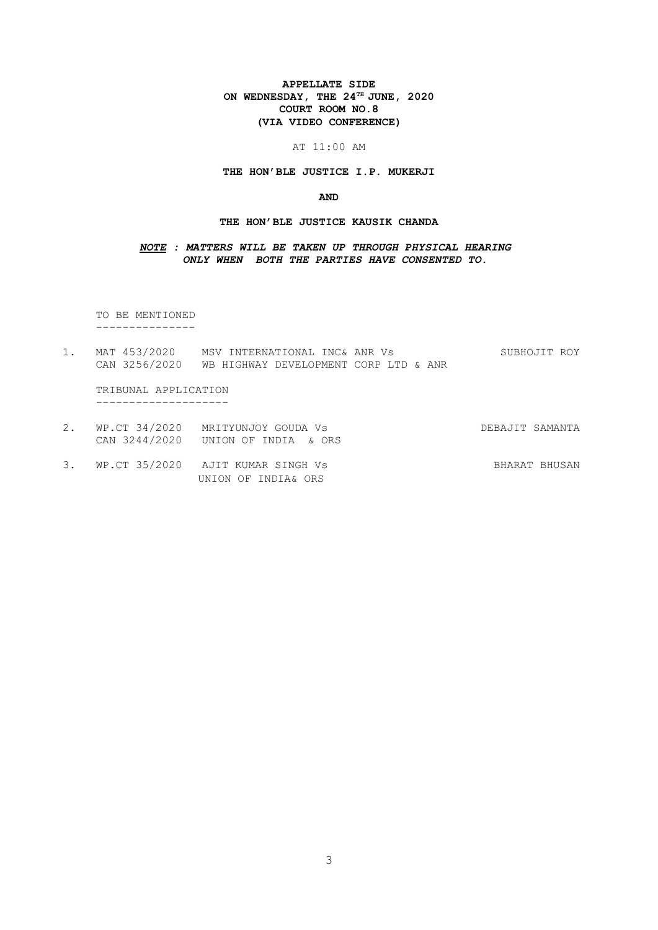# APPELLATE SIDE ON WEDNESDAY, THE  $24^{TH}$  JUNE, 2020 COURT ROOM NO.8 (VIA VIDEO CONFERENCE)

### AT 11:00 AM

### THE HON'BLE JUSTICE I.P. MUKERJI

#### AND

### THE HON'BLE JUSTICE KAUSIK CHANDA

NOTE : MATTERS WILL BE TAKEN UP THROUGH PHYSICAL HEARING ONLY WHEN BOTH THE PARTIES HAVE CONSENTED TO.

 TO BE MENTIONED ---------------

1. MAT 453/2020 MSV INTERNATIONAL INC& ANR Vs SUBHOJIT ROY CAN 3256/2020 WB HIGHWAY DEVELOPMENT CORP LTD & ANR

 TRIBUNAL APPLICATION --------------------

- 2. WP.CT 34/2020 MRITYUNJOY GOUDA Vs DEBAJIT SAMANTA CAN 3244/2020 UNION OF INDIA & ORS
- 3. WP.CT 35/2020 AJIT KUMAR SINGH Vs SHARAT BHUSAN UNION OF INDIA& ORS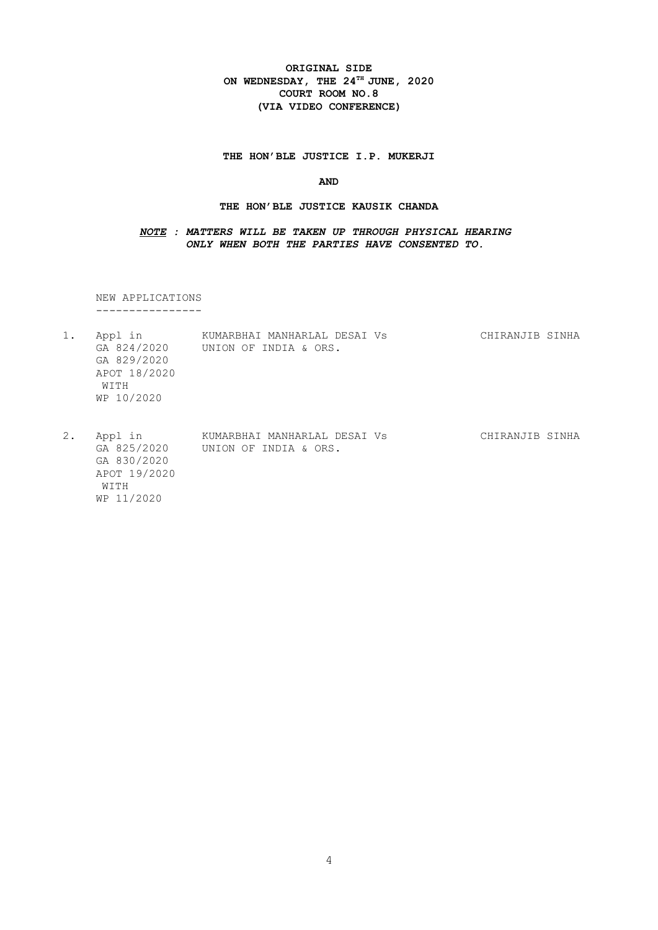# ORIGINAL SIDE ON WEDNESDAY, THE  $24^{\text{th}}$  JUNE, 2020 COURT ROOM NO.8 (VIA VIDEO CONFERENCE)

THE HON'BLE JUSTICE I.P. MUKERJI

### AND

### THE HON'BLE JUSTICE KAUSIK CHANDA

### NOTE : MATTERS WILL BE TAKEN UP THROUGH PHYSICAL HEARING ONLY WHEN BOTH THE PARTIES HAVE CONSENTED TO.

 NEW APPLICATIONS ----------------

|       | Appl in<br>GA 824/2020<br>GA 829/2020<br>APOT 18/2020<br>WITH<br>WP 10/2020 | KUMARBHAI MANHARLAL DESAI VS<br>UNION OF INDIA & ORS. | CHIRANJIB SINHA |
|-------|-----------------------------------------------------------------------------|-------------------------------------------------------|-----------------|
| $2$ . | Appl in                                                                     | KUMARBHAI MANHARLAL DESAI Vs                          | CHIRANJIB SINHA |

 GA 825/2020 UNION OF INDIA & ORS. GA 830/2020 APOT 19/2020 WITH WP 11/2020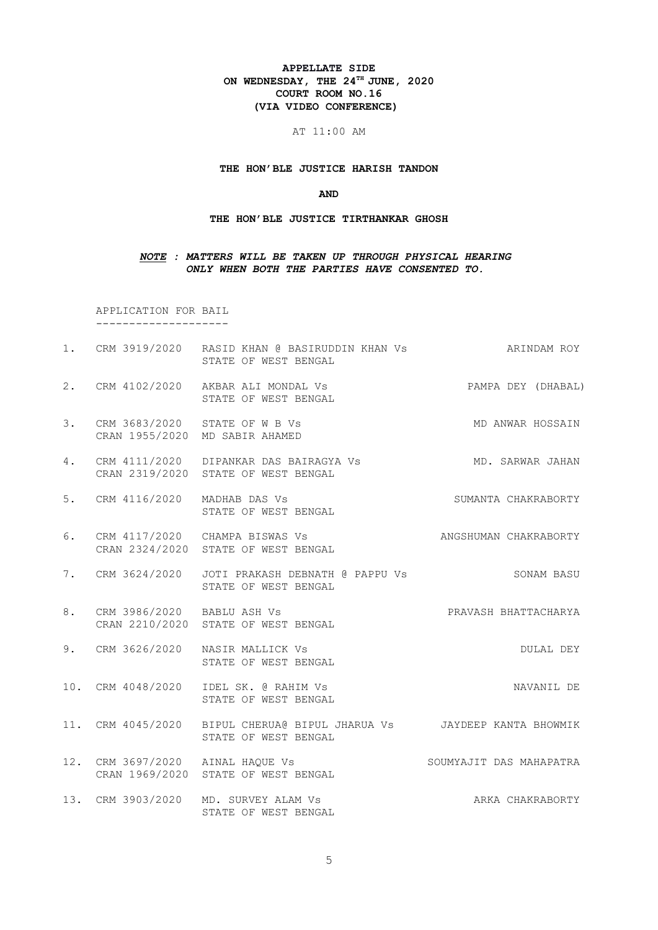# APPELLATE SIDE ON WEDNESDAY, THE  $24^{TH}$  JUNE, 2020 COURT ROOM NO.16 (VIA VIDEO CONFERENCE)

AT 11:00 AM

THE HON'BLE JUSTICE HARISH TANDON

#### AND

#### THE HON'BLE JUSTICE TIRTHANKAR GHOSH

### NOTE : MATTERS WILL BE TAKEN UP THROUGH PHYSICAL HEARING ONLY WHEN BOTH THE PARTIES HAVE CONSENTED TO.

 APPLICATION FOR BAIL --------------------

1. CRM 3919/2020 RASID KHAN @ BASIRUDDIN KHAN Vs ARINDAM ROY STATE OF WEST BENGAL 2. CRM 4102/2020 AKBAR ALI MONDAL Vs PAMPA DEY (DHABAL) STATE OF WEST BENGAL 3. CRM 3683/2020 STATE OF W B Vs MONDANWAR HOSSAIN CRAN 1955/2020 MD SABIR AHAMED 4. CRM 4111/2020 DIPANKAR DAS BAIRAGYA Vs MD. SARWAR JAHAN CRAN 2319/2020 STATE OF WEST BENGAL 5. CRM 4116/2020 MADHAB DAS Vs SUMANTA CHAKRABORTY STATE OF WEST BENGAL 6. CRM 4117/2020 CHAMPA BISWAS Vs ANGSHUMAN CHAKRABORTY CRAN 2324/2020 STATE OF WEST BENGAL 7. CRM 3624/2020 JOTI PRAKASH DEBNATH @ PAPPU Vs SONAM BASU STATE OF WEST BENGAL 8. CRM 3986/2020 BABLU ASH Vs PRAVASH BHATTACHARYA CRAN 2210/2020 STATE OF WEST BENGAL 9. CRM 3626/2020 NASIR MALLICK Vs DULAL DEY STATE OF WEST BENGAL 10. CRM 4048/2020 IDEL SK. @ RAHIM Vs NAVANIL DE STATE OF WEST BENGAL 11. CRM 4045/2020 BIPUL CHERUA@ BIPUL JHARUA Vs JAYDEEP KANTA BHOWMIK STATE OF WEST BENGAL 12. CRM 3697/2020 AINAL HAQUE Vs SOUMYAJIT DAS MAHAPATRA CRAN 1969/2020 STATE OF WEST BENGAL 13. CRM 3903/2020 MD. SURVEY ALAM Vs AND ARKA CHAKRABORTY STATE OF WEST BENGAL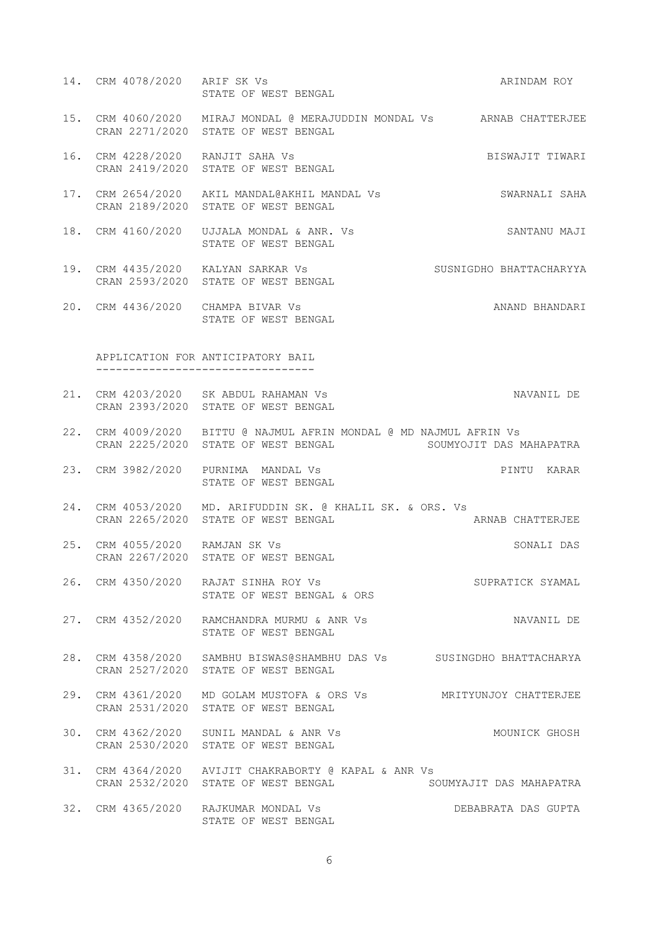- 14. CRM 4078/2020 ARIF SK Vs **ARINDAM ROY**  STATE OF WEST BENGAL 15. CRM 4060/2020 MIRAJ MONDAL @ MERAJUDDIN MONDAL Vs ARNAB CHATTERJEE CRAN 2271/2020 STATE OF WEST BENGAL 16. CRM 4228/2020 RANJIT SAHA Vs BISWAJIT TIWARI CRAN 2419/2020 STATE OF WEST BENGAL 17. CRM 2654/2020 AKIL MANDAL@AKHIL MANDAL Vs SWARNALI SAHA CRAN 2189/2020 STATE OF WEST BENGAL 18. CRM 4160/2020 UJJALA MONDAL & ANR. Vs SANTANU MAJI STATE OF WEST BENGAL 19. CRM 4435/2020 KALYAN SARKAR Vs SUSNIGDHO BHATTACHARYYA CRAN 2593/2020 STATE OF WEST BENGAL 20. CRM 4436/2020 CHAMPA BIVAR Vs ANAND BHANDARI STATE OF WEST BENGAL APPLICATION FOR ANTICIPATORY BAIL --------------------------------- 21. CRM 4203/2020 SK ABDUL RAHAMAN Vs NAVANIL DE CRAN 2393/2020 STATE OF WEST BENGAL 22. CRM 4009/2020 BITTU @ NAJMUL AFRIN MONDAL @ MD NAJMUL AFRIN Vs CRAN 2225/2020 STATE OF WEST BENGAL SOUMYOJIT DAS MAHAPATRA 23. CRM 3982/2020 PURNIMA MANDAL Vs PINTU KARAR STATE OF WEST BENGAL
	- 24. CRM 4053/2020 MD. ARIFUDDIN SK. @ KHALIL SK. & ORS. Vs CRAN 2265/2020 STATE OF WEST BENGAL ARNAB CHATTERJEE
	- 25. CRM 4055/2020 RAMJAN SK Vs SONALI DAS CRAN 2267/2020 STATE OF WEST BENGAL
	- 26. CRM 4350/2020 RAJAT SINHA ROY Vs SUPRATICK SYAMAL STATE OF WEST BENGAL & ORS
	- 27. CRM 4352/2020 RAMCHANDRA MURMU & ANR Vs NAVANIL DE STATE OF WEST BENGAL
	- 28. CRM 4358/2020 SAMBHU BISWAS@SHAMBHU DAS Vs SUSINGDHO BHATTACHARYA CRAN 2527/2020 STATE OF WEST BENGAL
	- 29. CRM 4361/2020 MD GOLAM MUSTOFA & ORS Vs MRITYUNJOY CHATTERJEE CRAN 2531/2020 STATE OF WEST BENGAL
	- 30. CRM 4362/2020 SUNIL MANDAL & ANR Vs MOUNICK GHOSH CRAN 2530/2020 STATE OF WEST BENGAL
	- 31. CRM 4364/2020 AVIJIT CHAKRABORTY @ KAPAL & ANR Vs CRAN 2532/2020 STATE OF WEST BENGAL SOUMYAJIT DAS MAHAPATRA
	- 32. CRM 4365/2020 RAJKUMAR MONDAL Vs DEBABRATA DAS GUPTA STATE OF WEST BENGAL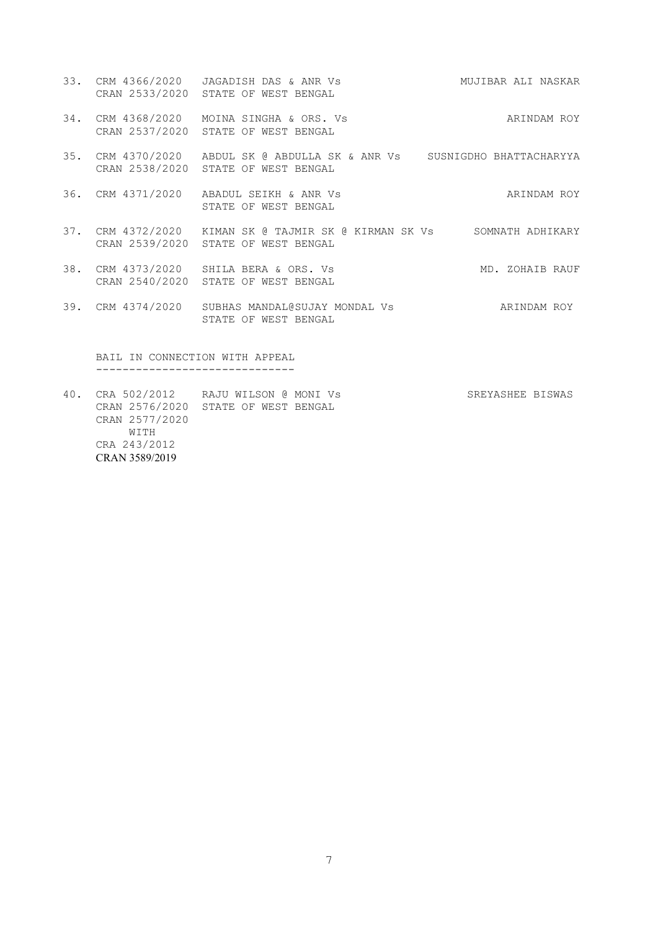- 33. CRM 4366/2020 JAGADISH DAS & ANR Vs MUJIBAR ALI NASKAR CRAN 2533/2020 STATE OF WEST BENGAL
- 34. CRM 4368/2020 MOINA SINGHA & ORS. Vs ARINDAM ROY CRAN 2537/2020 STATE OF WEST BENGAL
- 35. CRM 4370/2020 ABDUL SK @ ABDULLA SK & ANR Vs SUSNIGDHO BHATTACHARYYA CRAN 2538/2020 STATE OF WEST BENGAL
- 36. CRM 4371/2020 ABADUL SEIKH & ANR Vs ARINDAM ROY STATE OF WEST BENGAL
- 37. CRM 4372/2020 KIMAN SK @ TAJMIR SK @ KIRMAN SK Vs SOMNATH ADHIKARY CRAN 2539/2020 STATE OF WEST BENGAL
- 38. CRM 4373/2020 SHILA BERA & ORS. Vs MD. ZOHAIB RAUF CRAN 2540/2020 STATE OF WEST BENGAL
- 39. CRM 4374/2020 SUBHAS MANDAL@SUJAY MONDAL Vs ARINDAM ROY STATE OF WEST BENGAL

 BAIL IN CONNECTION WITH APPEAL ------------------------------

40. CRA 502/2012 RAJU WILSON @ MONI Vs SREYASHEE BISWAS CRAN 2576/2020 STATE OF WEST BENGAL CRAN 2577/2020 WITH CRA 243/2012 CRAN 3589/2019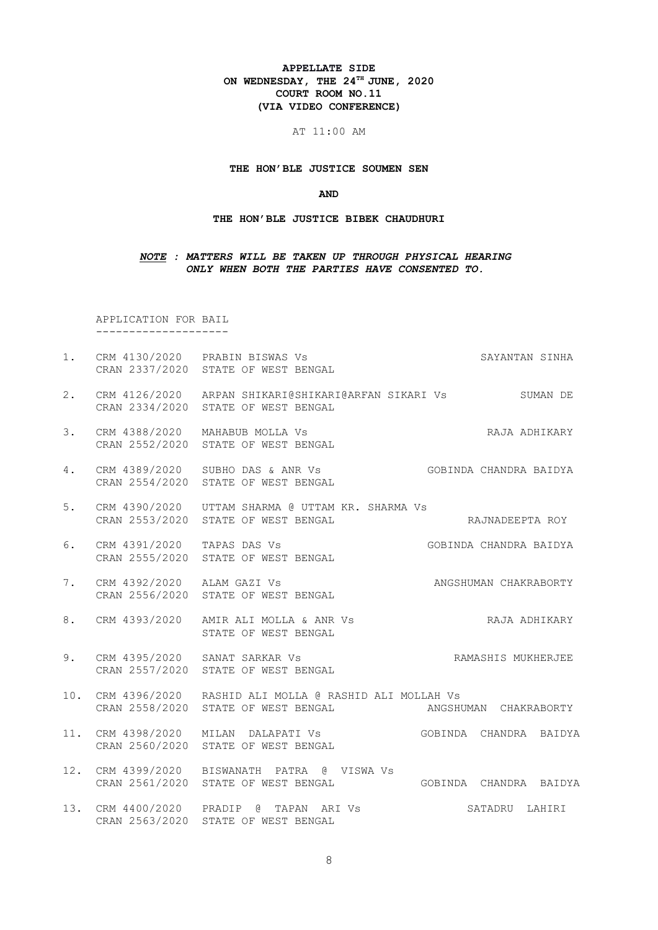# APPELLATE SIDE ON WEDNESDAY, THE  $24^{\text{th}}$  JUNE, 2020 COURT ROOM NO.11 (VIA VIDEO CONFERENCE)

AT 11:00 AM

THE HON'BLE JUSTICE SOUMEN SEN

#### AND

#### THE HON'BLE JUSTICE BIBEK CHAUDHURI

### NOTE : MATTERS WILL BE TAKEN UP THROUGH PHYSICAL HEARING ONLY WHEN BOTH THE PARTIES HAVE CONSENTED TO.

 APPLICATION FOR BAIL --------------------

- 1. CRM 4130/2020 PRABIN BISWAS Vs SAYANTAN SINHA CRAN 2337/2020 STATE OF WEST BENGAL
- 2. CRM 4126/2020 ARPAN SHIKARI@SHIKARI@ARFAN SIKARI Vs SUMAN DE CRAN 2334/2020 STATE OF WEST BENGAL
- 3. CRM 4388/2020 MAHABUB MOLLA Vs **RAJA ADHIKARY** CRAN 2552/2020 STATE OF WEST BENGAL
- 4. CRM 4389/2020 SUBHO DAS & ANR Vs GOBINDA CHANDRA BAIDYA CRAN 2554/2020 STATE OF WEST BENGAL
- 5. CRM 4390/2020 UTTAM SHARMA @ UTTAM KR. SHARMA Vs CRAN 2553/2020 STATE OF WEST BENGAL CRAINADEEPTA ROY
- 6. CRM 4391/2020 TAPAS DAS Vs GOBINDA CHANDRA BAIDYA CRAN 2555/2020 STATE OF WEST BENGAL
- 7. CRM 4392/2020 ALAM GAZI Vs ANGSHUMAN CHAKRABORTY CRAN 2556/2020 STATE OF WEST BENGAL
- 8. CRM 4393/2020 AMIR ALI MOLLA & ANR Vs RAJA ADHIKARY STATE OF WEST BENGAL
- 9. CRM 4395/2020 SANAT SARKAR Vs RAMASHIS MUKHERJEE CRAN 2557/2020 STATE OF WEST BENGAL
- 10. CRM 4396/2020 RASHID ALI MOLLA @ RASHID ALI MOLLAH Vs<br>CRAN 2558/2020 STATE OF WEST BENGAL ANGSHUMAN CHAKRABORTY CRAN 2558/2020 STATE OF WEST BENGAL
- 11. CRM 4398/2020 MILAN DALAPATI Vs GOBINDA CHANDRA BAIDYA CRAN 2560/2020 STATE OF WEST BENGAL
- 12. CRM 4399/2020 BISWANATH PATRA @ VISWA Vs CRAN 2561/2020 STATE OF WEST BENGAL GOBINDA CHANDRA BAIDYA
- 13. CRM 4400/2020 PRADIP @ TAPAN ARI Vs SATADRU LAHIRI CRAN 2563/2020 STATE OF WEST BENGAL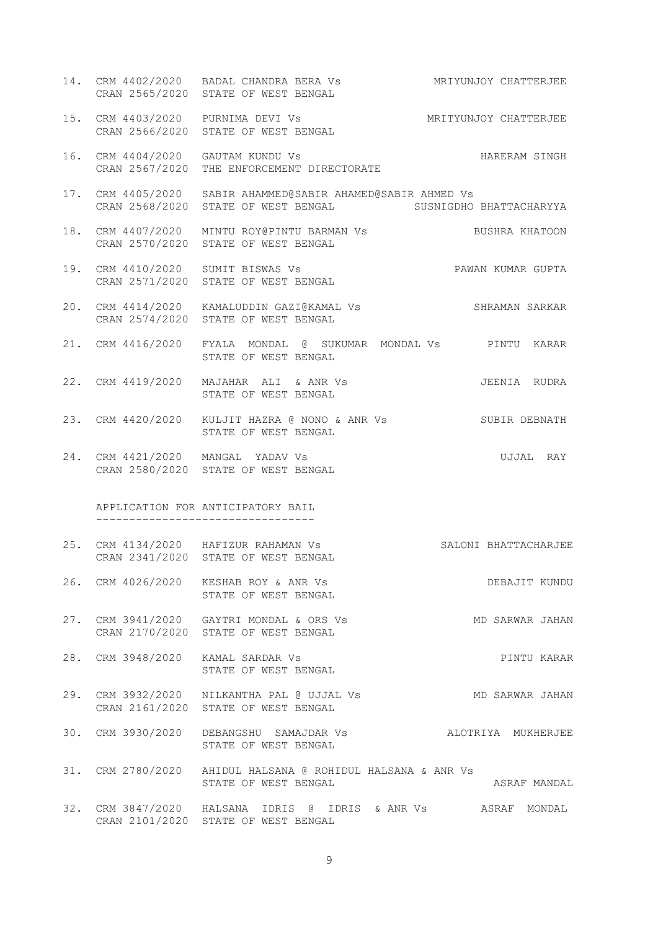14. CRM 4402/2020 BADAL CHANDRA BERA Vs MRIYUNJOY CHATTERJEE CRAN 2565/2020 STATE OF WEST BENGAL 15. CRM 4403/2020 PURNIMA DEVI Vs MRITYUNJOY CHATTERJEE CRAN 2566/2020 STATE OF WEST BENGAL 16. CRM 4404/2020 GAUTAM KUNDU Vs HARERAM SINGH CRAN 2567/2020 THE ENFORCEMENT DIRECTORATE 17. CRM 4405/2020 SABIR AHAMMED@SABIR AHAMED@SABIR AHMED Vs CRAN 2568/2020 STATE OF WEST BENGAL SUSNIGDHO BHATTACHARYYA 18. CRM 4407/2020 MINTU ROY@PINTU BARMAN Vs BUSHRA KHATOON CRAN 2570/2020 STATE OF WEST BENGAL 19. CRM 4410/2020 SUMIT BISWAS Vs PAWAN KUMAR GUPTA CRAN 2571/2020 STATE OF WEST BENGAL 20. CRM 4414/2020 KAMALUDDIN GAZI@KAMAL Vs SHRAMAN SARKAR CRAN 2574/2020 STATE OF WEST BENGAL 21. CRM 4416/2020 FYALA MONDAL @ SUKUMAR MONDAL Vs PINTU KARAR STATE OF WEST BENGAL 22. CRM 4419/2020 MAJAHAR ALI & ANR Vs JEENIA RUDRA STATE OF WEST BENGAL 23. CRM 4420/2020 KULJIT HAZRA @ NONO & ANR Vs SUBIR DEBNATH STATE OF WEST BENGAL 24. CRM 4421/2020 MANGAL YADAV Vs UJJAL RAY CRAN 2580/2020 STATE OF WEST BENGAL APPLICATION FOR ANTICIPATORY BAIL --------------------------------- 25. CRM 4134/2020 HAFIZUR RAHAMAN Vs SALONI BHATTACHARJEE CRAN 2341/2020 STATE OF WEST BENGAL 26. CRM 4026/2020 KESHAB ROY & ANR Vs DEBAJIT KUNDU STATE OF WEST BENGAL 27. CRM 3941/2020 GAYTRI MONDAL & ORS Vs MD SARWAR JAHAN CRAN 2170/2020 STATE OF WEST BENGAL 28. CRM 3948/2020 KAMAL SARDAR Vs PINTU KARAR STATE OF WEST BENGAL 29. CRM 3932/2020 NILKANTHA PAL @ UJJAL Vs MD SARWAR JAHAN CRAN 2161/2020 STATE OF WEST BENGAL 30. CRM 3930/2020 DEBANGSHU SAMAJDAR Vs ALOTRIYA MUKHERJEE STATE OF WEST BENGAL 31. CRM 2780/2020 AHIDUL HALSANA @ ROHIDUL HALSANA & ANR Vs STATE OF WEST BENGAL **ASRAF MANDAL** 32. CRM 3847/2020 HALSANA IDRIS @ IDRIS & ANR Vs ASRAF MONDAL CRAN 2101/2020 STATE OF WEST BENGAL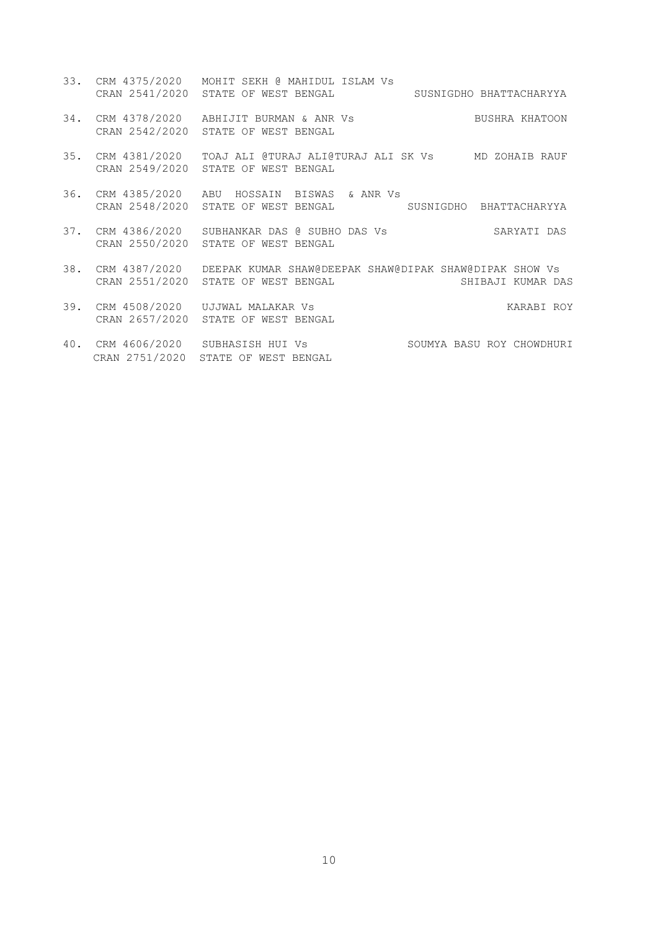- 33. CRM 4375/2020 MOHIT SEKH @ MAHIDUL ISLAM Vs CRAN 2541/2020 STATE OF WEST BENGAL SUSNIGDHO BHATTACHARYYA 34. CRM 4378/2020 ABHIJIT BURMAN & ANR Vs BUSHRA KHATOON CRAN 2542/2020 STATE OF WEST BENGAL 35. CRM 4381/2020 TOAJ ALI @TURAJ ALI@TURAJ ALI SK Vs MD ZOHAIB RAUF CRAN 2549/2020 STATE OF WEST BENGAL 36. CRM 4385/2020 ABU HOSSAIN BISWAS & ANR Vs CRAN 2548/2020 STATE OF WEST BENGAL SUSNIGDHO BHATTACHARYYA
- 37. CRM 4386/2020 SUBHANKAR DAS @ SUBHO DAS Vs SARYATI DAS CRAN 2550/2020 STATE OF WEST BENGAL
- 38. CRM 4387/2020 DEEPAK KUMAR SHAW@DEEPAK SHAW@DIPAK SHAW@DIPAK SHOW Vs CRAN 2551/2020 STATE OF WEST BENGAL SHIBAJI KUMAR DAS
- 39. CRM 4508/2020 UJJWAL MALAKAR Vs KARABI ROY CRAN 2657/2020 STATE OF WEST BENGAL
- 40. CRM 4606/2020 SUBHASISH HUI Vs SOUMYA BASU ROY CHOWDHURI CRAN 2751/2020 STATE OF WEST BENGAL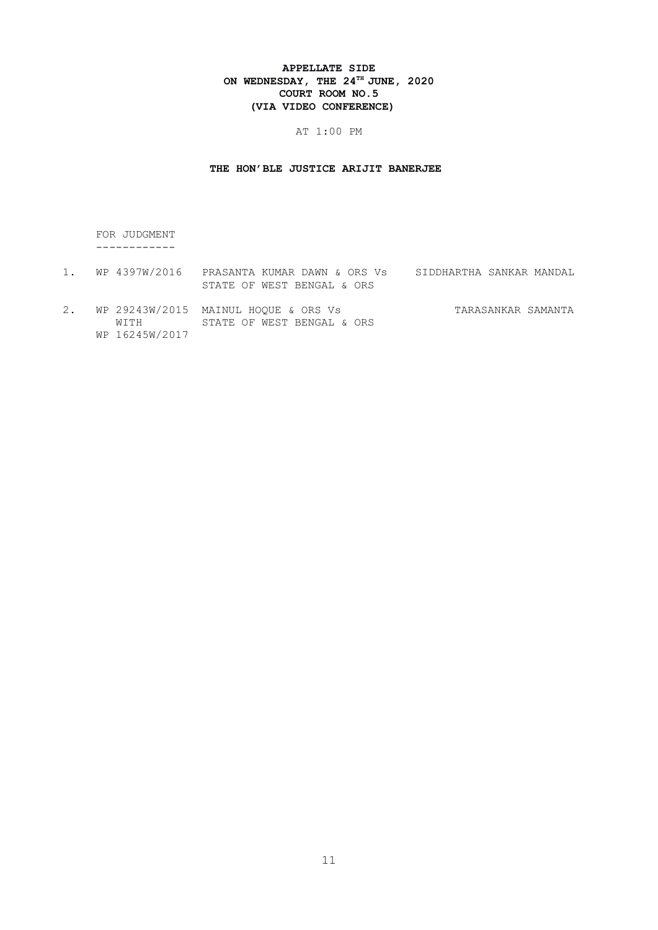# APPELLATE SIDE ON WEDNESDAY, THE  $24^{\text{th}}$  JUNE, 2020 COURT ROOM NO.5 (VIA VIDEO CONFERENCE)

# AT 1:00 PM

# THE HON'BLE JUSTICE ARIJIT BANERJEE

 FOR JUDGMENT ------------

- 1. WP 4397W/2016 PRASANTA KUMAR DAWN & ORS Vs SIDDHARTHA SANKAR MANDAL STATE OF WEST BENGAL & ORS
- 2. WP 29243W/2015 MAINUL HOQUE & ORS Vs<br>WITH STATE OF WEST BENGAL & ORS MAINUL HOQUE & ORS Vs<br>STATE OF WEST BENGAL & ORS WP 16245W/2017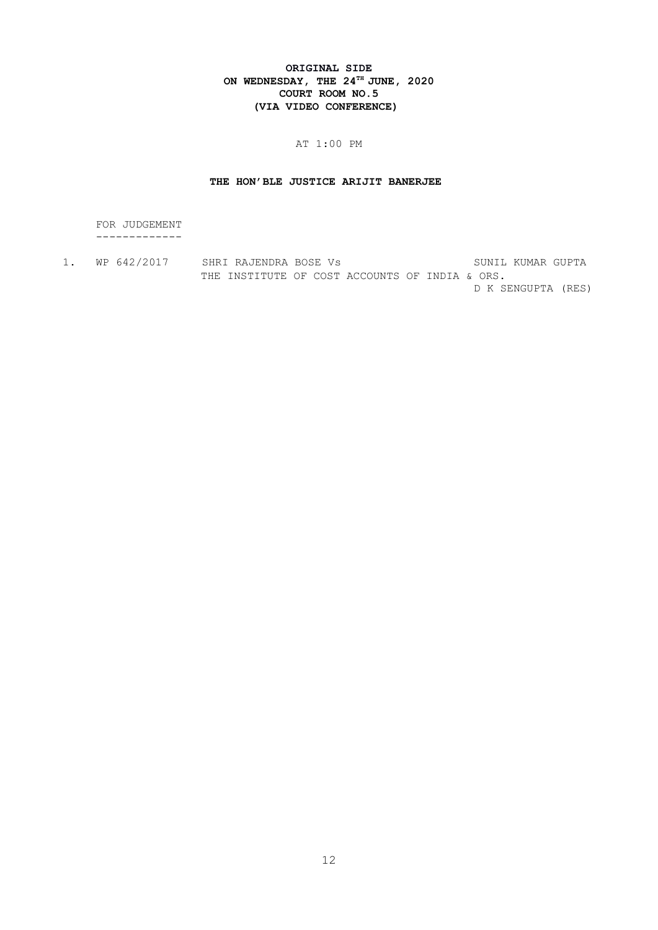# ORIGINAL SIDE ON WEDNESDAY, THE  $24^{\text{th}}$  JUNE, 2020 COURT ROOM NO.5 (VIA VIDEO CONFERENCE)

# AT 1:00 PM

# THE HON'BLE JUSTICE ARIJIT BANERJEE

 FOR JUDGEMENT -------------

1. WP 642/2017 SHRI RAJENDRA BOSE Vs SUNIL KUMAR GUPTA THE INSTITUTE OF COST ACCOUNTS OF INDIA & ORS. D K SENGUPTA (RES)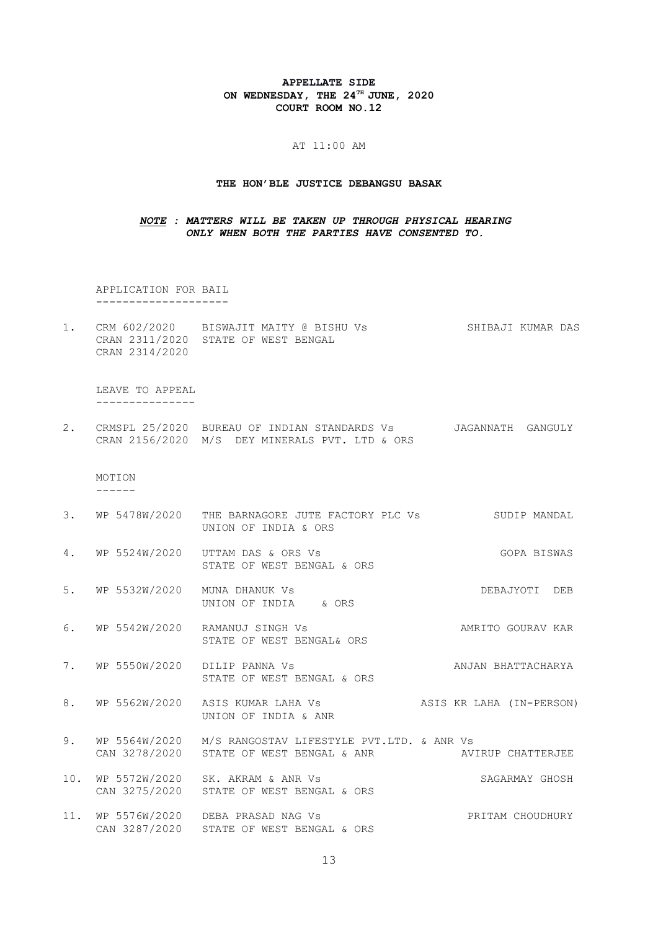# APPELLATE SIDE ON WEDNESDAY, THE  $24^{TH}$  JUNE, 2020 COURT ROOM NO.12

#### AT 11:00 AM

### THE HON'BLE JUSTICE DEBANGSU BASAK

# NOTE : MATTERS WILL BE TAKEN UP THROUGH PHYSICAL HEARING ONLY WHEN BOTH THE PARTIES HAVE CONSENTED TO.

 APPLICATION FOR BAIL --------------------

1. CRM 602/2020 BISWAJIT MAITY @ BISHU Vs SHIBAJI KUMAR DAS CRAN 2311/2020 STATE OF WEST BENGAL CRAN 2314/2020

 LEAVE TO APPEAL ---------------

2. CRMSPL 25/2020 BUREAU OF INDIAN STANDARDS Vs JAGANNATH GANGULY CRAN 2156/2020 M/S DEY MINERALS PVT. LTD & ORS

# MOTION

------

- 3. WP 5478W/2020 THE BARNAGORE JUTE FACTORY PLC Vs SUDIP MANDAL UNION OF INDIA & ORS
- 4. WP 5524W/2020 UTTAM DAS & ORS Vs GOPA BISWAS STATE OF WEST BENGAL & ORS
- 5. WP 5532W/2020 MUNA DHANUK Vs DEBAJYOTI DEB UNION OF INDIA & ORS
- 6. WP 5542W/2020 RAMANUJ SINGH Vs AMRITO GOURAV KAR STATE OF WEST BENGAL& ORS
- 7. WP 5550W/2020 DILIP PANNA Vs **ANJAN BHATTACHARYA** STATE OF WEST BENGAL & ORS
- 8. WP 5562W/2020 ASIS KUMAR LAHA Vs ASIS KR LAHA (IN-PERSON) UNION OF INDIA & ANR
- 9. WP 5564W/2020 M/S RANGOSTAV LIFESTYLE PVT.LTD. & ANR Vs CAN 3278/2020 STATE OF WEST BENGAL & ANR AVIRUP CHATTERJEE
- 10. WP 5572W/2020 SK. AKRAM & ANR Vs SAGARMAY GHOSH CAN 3275/2020 STATE OF WEST BENGAL & ORS
- 11. WP 5576W/2020 DEBA PRASAD NAG Vs PRITAM CHOUDHURY CAN 3287/2020 STATE OF WEST BENGAL & ORS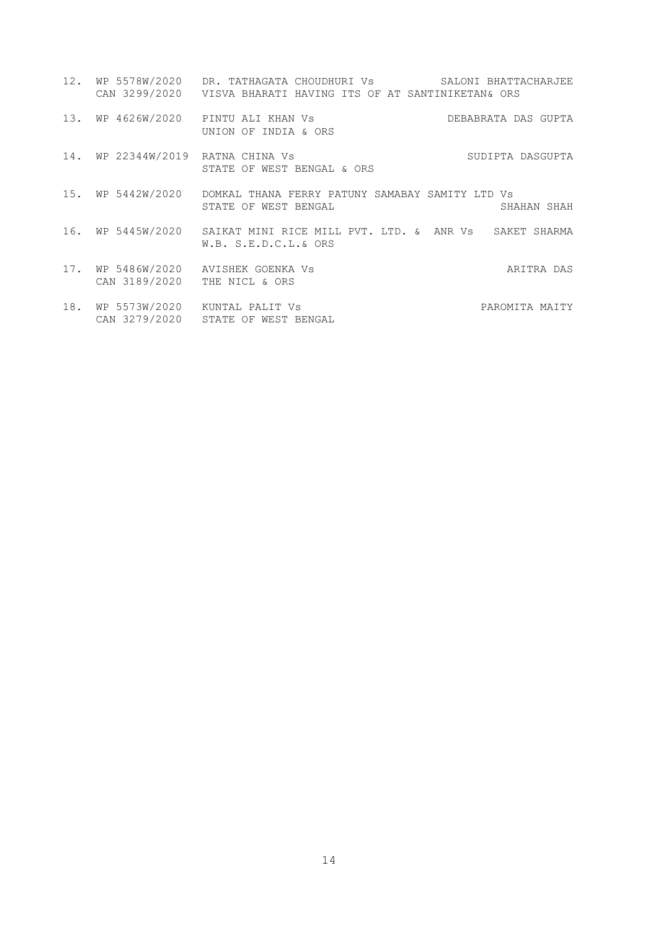|     |                                   | 12. WP 5578W/2020 DR. TATHAGATA CHOUDHURI Vs SALONI BHATTACHARJEE<br>CAN 3299/2020 VISVA BHARATI HAVING ITS OF AT SANTINIKETAN& ORS |
|-----|-----------------------------------|-------------------------------------------------------------------------------------------------------------------------------------|
|     |                                   | 13. WP 4626W/2020 PINTU ALI KHAN Vs<br>DEBABRATA DAS GUPTA<br>UNION OF INDIA & ORS                                                  |
|     | 14. WP 22344W/2019 RATNA CHINA Vs | SUDIPTA DASGUPTA<br>STATE OF WEST BENGAL & ORS                                                                                      |
|     | 15. WP 5442W/2020                 | DOMKAL THANA FERRY PATUNY SAMABAY SAMITY LTD Vs<br>STATE OF WEST BENGAL<br>SHAHAN SHAH                                              |
|     |                                   | 16. WP 5445W/2020 SAIKAT MINI RICE MILL PVT. LTD. & ANR Vs SAKET SHARMA<br>W.B. S.E.D.C.L.& ORS                                     |
| 17. | CAN 3189/2020                     | WP 5486W/2020 AVISHEK GOENKA Vs<br>ARITRA DAS<br>THE NICL & ORS                                                                     |
| 18. |                                   | WP 5573W/2020 KUNTAL PALIT Vs<br>PAROMITA MAITY<br>CAN 3279/2020 STATE OF WEST BENGAL                                               |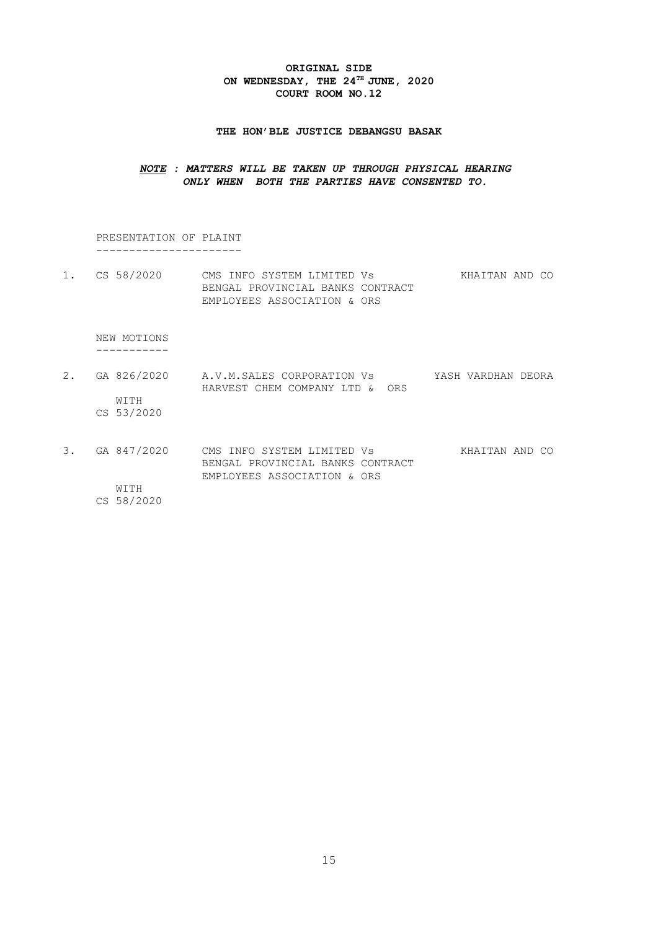# ORIGINAL SIDE ON WEDNESDAY, THE  $24^{\text{th}}$  JUNE, 2020 COURT ROOM NO.12

### THE HON'BLE JUSTICE DEBANGSU BASAK

# NOTE : MATTERS WILL BE TAKEN UP THROUGH PHYSICAL HEARING ONLY WHEN BOTH THE PARTIES HAVE CONSENTED TO.

 PRESENTATION OF PLAINT ----------------------

1. CS 58/2020 CMS INFO SYSTEM LIMITED Vs KHAITAN AND CO BENGAL PROVINCIAL BANKS CONTRACT EMPLOYEES ASSOCIATION & ORS

 NEW MOTIONS -----------

- 2. GA 826/2020 A.V.M.SALES CORPORATION Vs YASH VARDHAN DEORA HARVEST CHEM COMPANY LTD & ORS WITH CS 53/2020
- 3. GA 847/2020 CMS INFO SYSTEM LIMITED Vs KHAITAN AND CO BENGAL PROVINCIAL BANKS CONTRACT EMPLOYEES ASSOCIATION & ORS

 WITH CS 58/2020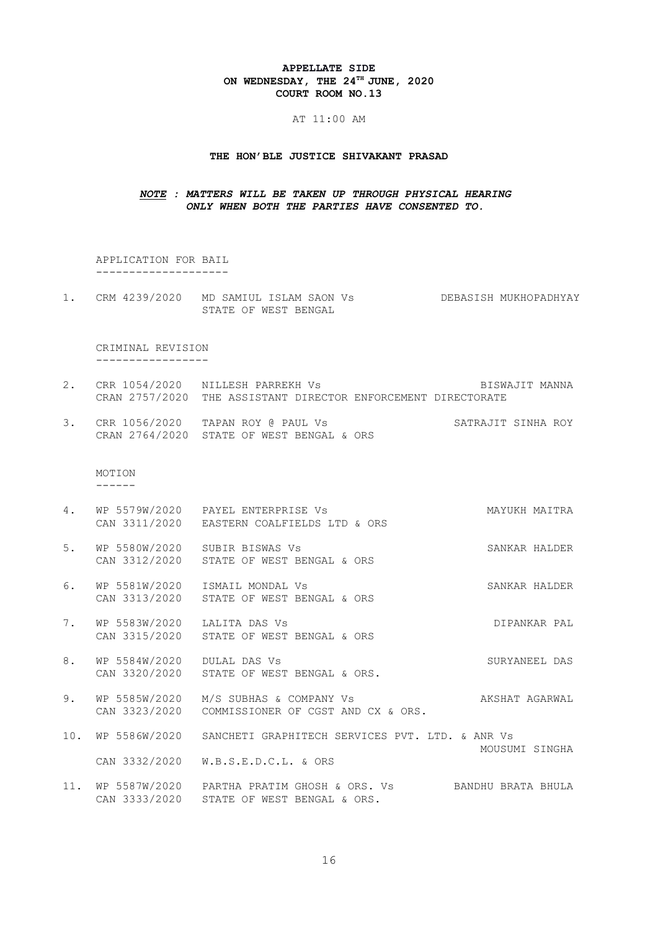### APPELLATE SIDE ON WEDNESDAY, THE  $24^{\text{th}}$  JUNE, 2020 COURT ROOM NO.13

### AT 11:00 AM

### THE HON'BLE JUSTICE SHIVAKANT PRASAD

# NOTE : MATTERS WILL BE TAKEN UP THROUGH PHYSICAL HEARING ONLY WHEN BOTH THE PARTIES HAVE CONSENTED TO.

 APPLICATION FOR BAIL --------------------

1. CRM 4239/2020 MD SAMIUL ISLAM SAON Vs DEBASISH MUKHOPADHYAY STATE OF WEST BENGAL

#### CRIMINAL REVISION -----------------

- 2. CRR 1054/2020 NILLESH PARREKH Vs BISWAJIT MANNA CRAN 2757/2020 THE ASSISTANT DIRECTOR ENFORCEMENT DIRECTORATE
- 3. CRR 1056/2020 TAPAN ROY @ PAUL Vs SATRAJIT SINHA ROY CRAN 2764/2020 STATE OF WEST BENGAL & ORS

 MOTION ------

- 4. WP 5579W/2020 PAYEL ENTERPRISE Vs MAYUKH MAITRA CAN 3311/2020 EASTERN COALFIELDS LTD & ORS
- 5. WP 5580W/2020 SUBIR BISWAS Vs SANKAR HALDER CAN 3312/2020 STATE OF WEST BENGAL & ORS
- 6. WP 5581W/2020 ISMAIL MONDAL Vs SANKAR HALDER CAN 3313/2020 STATE OF WEST BENGAL & ORS
- 7. WP 5583W/2020 LALITA DAS Vs **DIPANKAR PAL** CAN 3315/2020 STATE OF WEST BENGAL & ORS
- 8. WP 5584W/2020 DULAL DAS Vs SURYANEEL DAS CAN 3320/2020 STATE OF WEST BENGAL & ORS.
- 9. WP 5585W/2020 M/S SUBHAS & COMPANY Vs AKSHAT AGARWAL CAN 3323/2020 COMMISSIONER OF CGST AND CX & ORS.
- 10. WP 5586W/2020 SANCHETI GRAPHITECH SERVICES PVT. LTD. & ANR Vs MOUSUMI SINGHA CAN 3332/2020 W.B.S.E.D.C.L. & ORS
- 11. WP 5587W/2020 PARTHA PRATIM GHOSH & ORS. Vs BANDHU BRATA BHULA CAN 3333/2020 STATE OF WEST BENGAL & ORS.